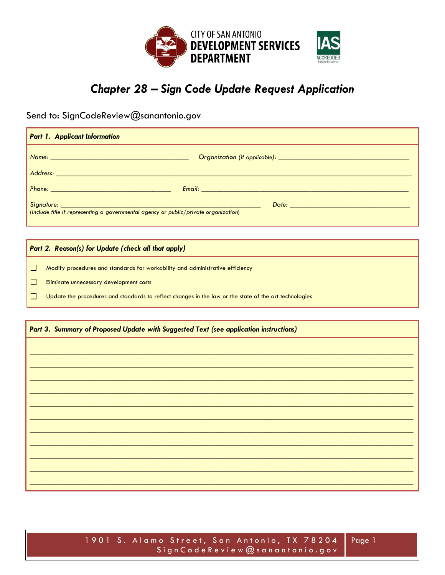

# Chapter 28 - Sign Code Update Request Application

Send to: SignCodeReview@sanantonio.gov

| <b>Part 1. Applicant Information</b>                                                                                                                                                                                                 |  |
|--------------------------------------------------------------------------------------------------------------------------------------------------------------------------------------------------------------------------------------|--|
| <u>Name: 2008 - 2008 - 2008 - 2008 - 2008 - 2008 - 2008 - 2008 - 2008 - 2008 - 2008 - 2008 - 2008 - 2008 - 2008 - 2008 - 2008 - 2008 - 2008 - 2008 - 2008 - 2008 - 2008 - 2008 - 2008 - 2008 - 2008 - 2008 - 2008 - 2008 - 2008 </u> |  |
|                                                                                                                                                                                                                                      |  |
|                                                                                                                                                                                                                                      |  |
| (Include title if representing a governmental agency or public/private organization)                                                                                                                                                 |  |

Part 2. Reason(s) for Update (check all that apply)

Modify procedures and standards for workability and administrative efficiency

- $\Box$ Eliminate unnecessary development costs
- $\Box$ Update the procedures and standards to reflect changes in the law or the state of the art technologies

#### Part 3. Summary of Proposed Update with Suggested Text (see application instructions)